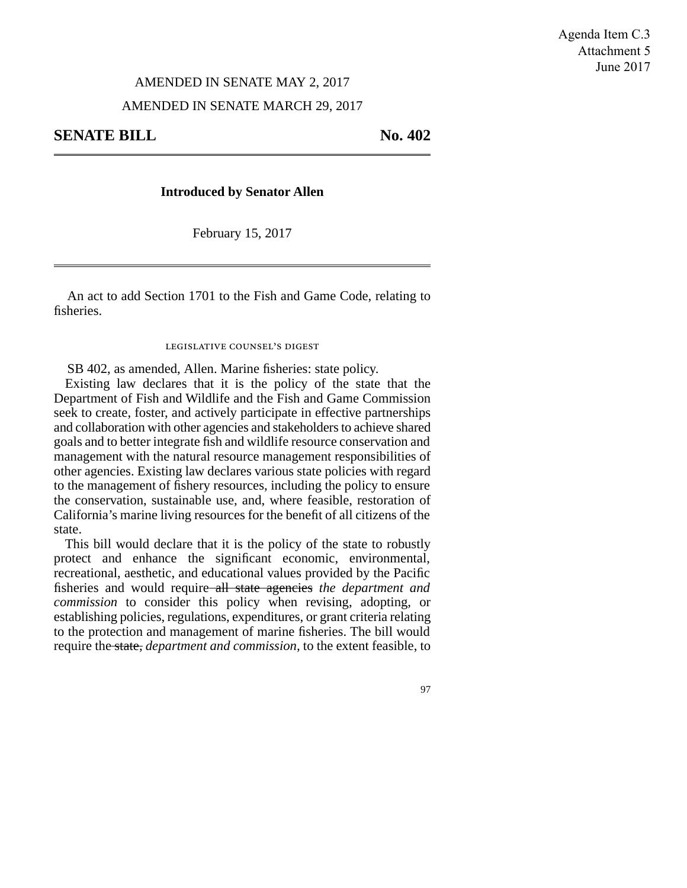## AMENDED IN SENATE MAY 2, 2017

## AMENDED IN SENATE MARCH 29, 2017

**SENATE BILL** No. 402

## **Introduced by Senator Allen**

February 15, 2017

An act to add Section 1701 to the Fish and Game Code, relating to fisheries.

## legislative counsel's digest

SB 402, as amended, Allen. Marine fisheries: state policy.

Existing law declares that it is the policy of the state that the Department of Fish and Wildlife and the Fish and Game Commission seek to create, foster, and actively participate in effective partnerships and collaboration with other agencies and stakeholders to achieve shared goals and to better integrate fish and wildlife resource conservation and management with the natural resource management responsibilities of other agencies. Existing law declares various state policies with regard to the management of fishery resources, including the policy to ensure the conservation, sustainable use, and, where feasible, restoration of California's marine living resources for the benefit of all citizens of the state.

This bill would declare that it is the policy of the state to robustly protect and enhance the significant economic, environmental, recreational, aesthetic, and educational values provided by the Pacific fisheries and would require all state agencies *the department and commission* to consider this policy when revising, adopting, or establishing policies, regulations, expenditures, or grant criteria relating to the protection and management of marine fisheries. The bill would require the state, *department and commission,* to the extent feasible, to

97